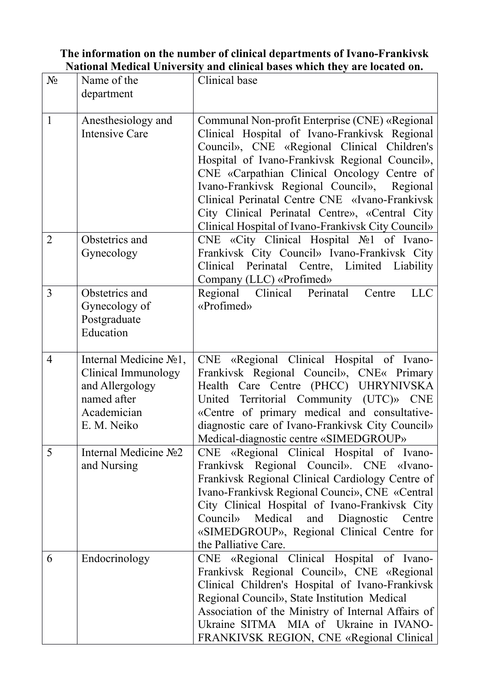## **The information on the number of clinical departments of Ivano-Frankivsk National Medical University and clinical bases which they are located on.**

| $N_{\Omega}$   | Name of the<br>department                                                                                     | Clinical base                                                                                                                                                                                                                                                                                                                                                                                                                                            |
|----------------|---------------------------------------------------------------------------------------------------------------|----------------------------------------------------------------------------------------------------------------------------------------------------------------------------------------------------------------------------------------------------------------------------------------------------------------------------------------------------------------------------------------------------------------------------------------------------------|
| $\mathbf{1}$   | Anesthesiology and<br>Intensive Care                                                                          | Communal Non-profit Enterprise (CNE) «Regional<br>Clinical Hospital of Ivano-Frankivsk Regional<br>Council», CNE «Regional Clinical Children's<br>Hospital of Ivano-Frankivsk Regional Council»,<br>CNE «Carpathian Clinical Oncology Centre of<br>Ivano-Frankivsk Regional Council», Regional<br>Clinical Perinatal Centre CNE «Ivano-Frankivsk<br>City Clinical Perinatal Centre», «Central City<br>Clinical Hospital of Ivano-Frankivsk City Council» |
| $\overline{2}$ | Obstetrics and<br>Gynecology                                                                                  | CNE «City Clinical Hospital No 1 of Ivano-<br>Frankivsk City Council» Ivano-Frankivsk City<br>Clinical Perinatal Centre, Limited Liability<br>Company (LLC) «Profimed»                                                                                                                                                                                                                                                                                   |
| 3              | Obstetrics and<br>Gynecology of<br>Postgraduate<br>Education                                                  | Regional Clinical Perinatal<br><b>LLC</b><br>Centre<br>«Profimed»                                                                                                                                                                                                                                                                                                                                                                                        |
| 4              | Internal Medicine No1,<br>Clinical Immunology<br>and Allergology<br>named after<br>Academician<br>E. M. Neiko | CNE «Regional Clinical Hospital of Ivano-<br>Frankivsk Regional Council», CNE« Primary<br>Health Care Centre (PHCC) UHRYNIVSKA<br>United Territorial Community (UTC)» CNE<br>«Centre of primary medical and consultative-<br>diagnostic care of Ivano-Frankivsk City Council»<br>Medical-diagnostic centre «SIMEDGROUP»                                                                                                                                  |
| 5              | Internal Medicine No <sub>2</sub><br>and Nursing                                                              | CNE «Regional Clinical Hospital of Ivano-<br>Frankivsk Regional Council». CNE «Ivano-<br>Frankivsk Regional Clinical Cardiology Centre of<br>Ivano-Frankivsk Regional Counci», CNE «Central<br>City Clinical Hospital of Ivano-Frankivsk City<br>Council» Medical and Diagnostic Centre<br>«SIMEDGROUP», Regional Clinical Centre for<br>the Palliative Care.                                                                                            |
| 6              | Endocrinology                                                                                                 | CNE «Regional Clinical Hospital of Ivano-<br>Frankivsk Regional Council», CNE «Regional<br>Clinical Children's Hospital of Ivano-Frankivsk<br>Regional Council», State Institution Medical<br>Association of the Ministry of Internal Affairs of<br>Ukraine SITMA MIA of Ukraine in IVANO-<br>FRANKIVSK REGION, CNE «Regional Clinical                                                                                                                   |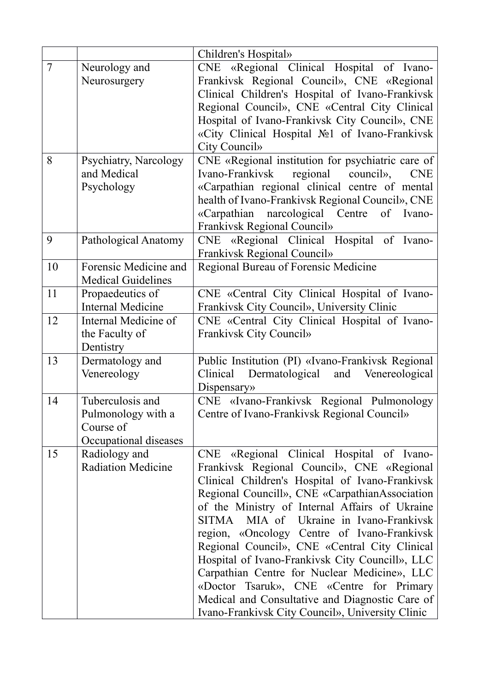|                |                                                                              | Children's Hospital»                                                                                                                                                                                                                                                                                                                                                                                                                                                                                                                                                                                                                            |
|----------------|------------------------------------------------------------------------------|-------------------------------------------------------------------------------------------------------------------------------------------------------------------------------------------------------------------------------------------------------------------------------------------------------------------------------------------------------------------------------------------------------------------------------------------------------------------------------------------------------------------------------------------------------------------------------------------------------------------------------------------------|
| $\overline{7}$ | Neurology and<br>Neurosurgery                                                | CNE «Regional Clinical Hospital of Ivano-<br>Frankivsk Regional Council», CNE «Regional<br>Clinical Children's Hospital of Ivano-Frankivsk<br>Regional Council», CNE «Central City Clinical<br>Hospital of Ivano-Frankivsk City Council», CNE<br>«City Clinical Hospital No1 of Ivano-Frankivsk<br>City Council»                                                                                                                                                                                                                                                                                                                                |
| 8              | Psychiatry, Narcology<br>and Medical<br>Psychology                           | CNE «Regional institution for psychiatric care of<br>regional council»,<br>Ivano-Frankivsk<br><b>CNE</b><br>«Carpathian regional clinical centre of mental<br>health of Ivano-Frankivsk Regional Council», CNE<br>«Carpathian narcological Centre<br>of Ivano-<br>Frankivsk Regional Council»                                                                                                                                                                                                                                                                                                                                                   |
| 9              | Pathological Anatomy                                                         | CNE «Regional Clinical Hospital of Ivano-<br>Frankivsk Regional Council»                                                                                                                                                                                                                                                                                                                                                                                                                                                                                                                                                                        |
| 10             | Forensic Medicine and<br><b>Medical Guidelines</b>                           | Regional Bureau of Forensic Medicine                                                                                                                                                                                                                                                                                                                                                                                                                                                                                                                                                                                                            |
| 11             | Propaedeutics of<br><b>Internal Medicine</b>                                 | CNE «Central City Clinical Hospital of Ivano-<br>Frankivsk City Council», University Clinic                                                                                                                                                                                                                                                                                                                                                                                                                                                                                                                                                     |
| 12             | Internal Medicine of<br>the Faculty of<br>Dentistry                          | CNE «Central City Clinical Hospital of Ivano-<br>Frankivsk City Council»                                                                                                                                                                                                                                                                                                                                                                                                                                                                                                                                                                        |
| 13             | Dermatology and<br>Venereology                                               | Public Institution (PI) «Ivano-Frankivsk Regional<br>Dermatological and Venereological<br>Clinical<br>Dispensary»                                                                                                                                                                                                                                                                                                                                                                                                                                                                                                                               |
| 14             | Tuberculosis and<br>Pulmonology with a<br>Course of<br>Occupational diseases | CNE «Ivano-Frankivsk Regional Pulmonology<br>Centre of Ivano-Frankivsk Regional Council»                                                                                                                                                                                                                                                                                                                                                                                                                                                                                                                                                        |
| 15             | Radiology and<br><b>Radiation Medicine</b>                                   | CNE «Regional Clinical Hospital of Ivano-<br>Frankivsk Regional Council», CNE «Regional<br>Clinical Children's Hospital of Ivano-Frankivsk<br>Regional Councill», CNE «CarpathianAssociation<br>of the Ministry of Internal Affairs of Ukraine<br>SITMA MIA of Ukraine in Ivano-Frankivsk<br>region, «Oncology Centre of Ivano-Frankivsk<br>Regional Council», CNE «Central City Clinical<br>Hospital of Ivano-Frankivsk City Councill», LLC<br>Carpathian Centre for Nuclear Medicine», LLC<br>«Doctor Tsaruk», CNE «Centre for Primary<br>Medical and Consultative and Diagnostic Care of<br>Ivano-Frankivsk City Council», University Clinic |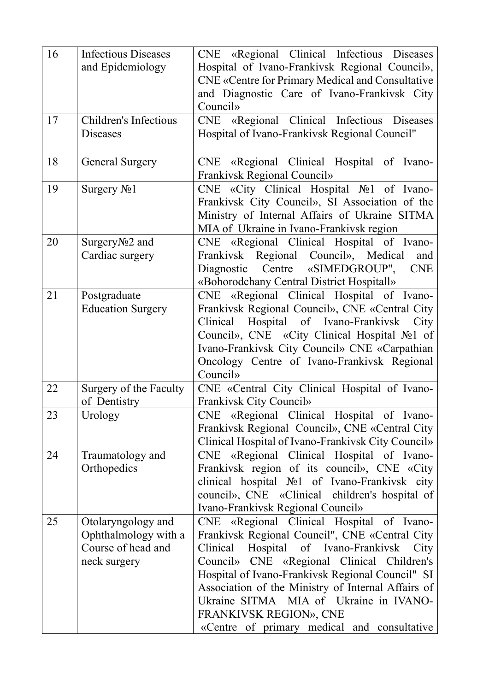| 16 | <b>Infectious Diseases</b><br>and Epidemiology                                   | CNE «Regional Clinical Infectious Diseases<br>Hospital of Ivano-Frankivsk Regional Council»,<br>CNE «Centre for Primary Medical and Consultative<br>and Diagnostic Care of Ivano-Frankivsk City<br>Council»                                                                                                                                                                                                            |
|----|----------------------------------------------------------------------------------|------------------------------------------------------------------------------------------------------------------------------------------------------------------------------------------------------------------------------------------------------------------------------------------------------------------------------------------------------------------------------------------------------------------------|
| 17 | Children's Infectious<br>Diseases                                                | CNE «Regional Clinical Infectious Diseases<br>Hospital of Ivano-Frankivsk Regional Council"                                                                                                                                                                                                                                                                                                                            |
| 18 | <b>General Surgery</b>                                                           | CNE «Regional Clinical Hospital of Ivano-<br>Frankivsk Regional Council»                                                                                                                                                                                                                                                                                                                                               |
| 19 | Surgery $N01$                                                                    | CNE «City Clinical Hospital No 1 of Ivano-<br>Frankivsk City Council», SI Association of the<br>Ministry of Internal Affairs of Ukraine SITMA<br>MIA of Ukraine in Ivano-Frankivsk region                                                                                                                                                                                                                              |
| 20 | SurgeryNo <sub>2</sub> and<br>Cardiac surgery                                    | CNE «Regional Clinical Hospital of Ivano-<br>Frankivsk Regional Council», Medical<br>and<br>Diagnostic Centre<br>«SIMEDGROUP",<br><b>CNE</b><br>«Bohorodchany Central District Hospitall»                                                                                                                                                                                                                              |
| 21 | Postgraduate<br><b>Education Surgery</b>                                         | CNE «Regional Clinical Hospital of Ivano-<br>Frankivsk Regional Council», CNE «Central City<br>Hospital of Ivano-Frankivsk<br>Clinical<br>City<br>Council», CNE «City Clinical Hospital No1 of<br>Ivano-Frankivsk City Council» CNE «Carpathian<br>Oncology Centre of Ivano-Frankivsk Regional<br>Council»                                                                                                             |
| 22 | Surgery of the Faculty<br>of Dentistry                                           | CNE «Central City Clinical Hospital of Ivano-<br>Frankivsk City Council»                                                                                                                                                                                                                                                                                                                                               |
| 23 | Urology                                                                          | CNE «Regional Clinical Hospital of Ivano-<br>Frankivsk Regional Council», CNE «Central City<br>Clinical Hospital of Ivano-Frankivsk City Council»                                                                                                                                                                                                                                                                      |
| 24 | Traumatology and<br>Orthopedics                                                  | «Regional Clinical Hospital of Ivano-<br>CNE<br>Frankivsk region of its council», CNE «City<br>clinical hospital №1 of Ivano-Frankivsk city<br>council», CNE «Clinical children's hospital of<br>Ivano-Frankivsk Regional Council»                                                                                                                                                                                     |
| 25 | Otolaryngology and<br>Ophthalmology with a<br>Course of head and<br>neck surgery | CNE «Regional Clinical Hospital of Ivano-<br>Frankivsk Regional Council", CNE «Central City<br>Hospital of Ivano-Frankivsk City<br>Clinical<br>Council» CNE «Regional Clinical Children's<br>Hospital of Ivano-Frankivsk Regional Council" SI<br>Association of the Ministry of Internal Affairs of<br>Ukraine SITMA MIA of Ukraine in IVANO-<br>FRANKIVSK REGION», CNE<br>«Centre of primary medical and consultative |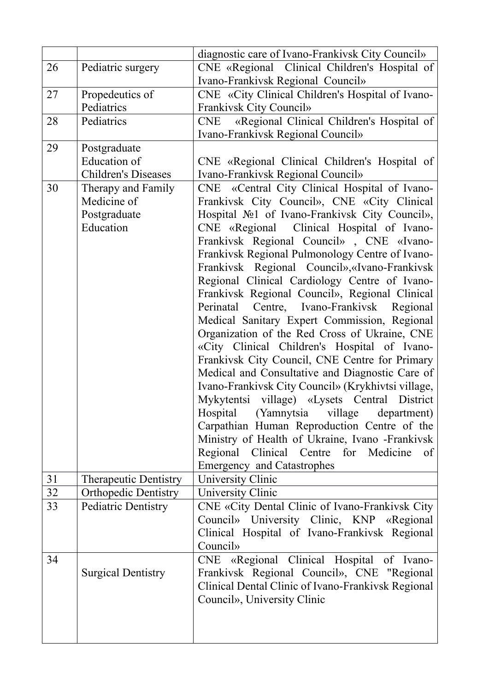|    |                              | diagnostic care of Ivano-Frankivsk City Council»           |
|----|------------------------------|------------------------------------------------------------|
| 26 | Pediatric surgery            | CNE «Regional Clinical Children's Hospital of              |
|    |                              | Ivano-Frankivsk Regional Council»                          |
| 27 | Propedeutics of              | CNE «City Clinical Children's Hospital of Ivano-           |
|    | Pediatrics                   | Frankivsk City Council»                                    |
| 28 | Pediatrics                   | «Regional Clinical Children's Hospital of<br>CNE           |
|    |                              | Ivano-Frankivsk Regional Council»                          |
| 29 | Postgraduate                 |                                                            |
|    | <b>Education</b> of          | CNE «Regional Clinical Children's Hospital of              |
|    | <b>Children's Diseases</b>   | Ivano-Frankivsk Regional Council»                          |
| 30 | Therapy and Family           | CNE «Central City Clinical Hospital of Ivano-              |
|    | Medicine of                  | Frankivsk City Council», CNE «City Clinical                |
|    | Postgraduate                 | Hospital No <sub>1</sub> of Ivano-Frankivsk City Council», |
|    | Education                    | CNE «Regional Clinical Hospital of Ivano-                  |
|    |                              | Frankivsk Regional Council», CNE «Ivano-                   |
|    |                              | Frankivsk Regional Pulmonology Centre of Ivano-            |
|    |                              | Frankivsk Regional Council», «Ivano-Frankivsk              |
|    |                              | Regional Clinical Cardiology Centre of Ivano-              |
|    |                              | Frankivsk Regional Council», Regional Clinical             |
|    |                              | Perinatal Centre, Ivano-Frankivsk Regional                 |
|    |                              | Medical Sanitary Expert Commission, Regional               |
|    |                              | Organization of the Red Cross of Ukraine, CNE              |
|    |                              | «City Clinical Children's Hospital of Ivano-               |
|    |                              | Frankivsk City Council, CNE Centre for Primary             |
|    |                              | Medical and Consultative and Diagnostic Care of            |
|    |                              | Ivano-Frankivsk City Council» (Krykhivtsi village,         |
|    |                              | Mykytentsi village) «Lysets Central District               |
|    |                              | Hospital (Yamnytsia village department)                    |
|    |                              | Carpathian Human Reproduction Centre of the                |
|    |                              | Ministry of Health of Ukraine, Ivano -Frankivsk            |
|    |                              | Regional Clinical Centre for Medicine<br>of                |
|    |                              | <b>Emergency and Catastrophes</b>                          |
| 31 | <b>Therapeutic Dentistry</b> | University Clinic                                          |
| 32 | <b>Orthopedic Dentistry</b>  | University Clinic                                          |
| 33 | Pediatric Dentistry          | CNE «City Dental Clinic of Ivano-Frankivsk City            |
|    |                              | Council» University Clinic, KNP «Regional                  |
|    |                              | Clinical Hospital of Ivano-Frankivsk Regional              |
|    |                              | Council»                                                   |
| 34 |                              | CNE «Regional Clinical Hospital of Ivano-                  |
|    | <b>Surgical Dentistry</b>    | Frankivsk Regional Council», CNE "Regional                 |
|    |                              | Clinical Dental Clinic of Ivano-Frankivsk Regional         |
|    |                              | Council», University Clinic                                |
|    |                              |                                                            |
|    |                              |                                                            |
|    |                              |                                                            |